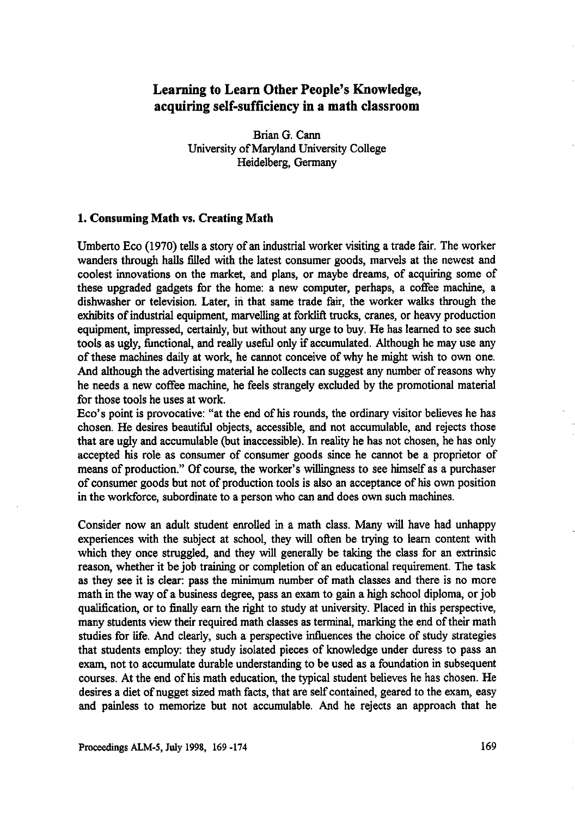# **Learning to Learn Other People's Knowledge, acquiring self-sufficiency in a math classroom**

Brian G. Cann University of Maryland University College Heidelberg, Germany

#### **1. Consuming Math** vs. **Creating Math**

Umberto Eco (1970) tells a story of an industrial worker visiting a trade fair. The worker wanders through halls filled with the latest consumer goods, marvels at the newest and coolest innovations on the market, and plans, or maybe dreams, of acquiring some of these upgraded gadgets for the home: a new computer, perhaps, a coffee machine, a dishwasher or television. Later, in that same trade fair, the worker walks through the exhibits of industrial equipment, marvelling at forklift trucks, cranes, or heavy production equipment, impressed, certainly, but without any urge to buy. He has learned to see such tools as ugly, functional, and really useful only if accumulated. Although he may use any of these machines daily at work, he cannot conceive of why he might wish to own one. And although the advertising material he collects can suggest any number of reasons why he needs a new coffee machine, he feels strangely excluded by the promotional material for those tools he uses at work.

Eco's point is provocative: "at the end of his rounds, the ordinary visitor believes he has chosen. He desires beautiful objects, accessible, and not accumulable, and rejects those that are ugly and accumulable (but inaccessible). In reality he has not chosen, he has only accepted his role as consumer of consumer goods since he cannot be a proprietor of means of production." Of course, the worker's willingness to see himself as a purchaser of consumer goods but not of production tools is also an acceptance of his own position in the workforce, subordinate to a person who can and does own such machines.

Consider now an adult student enrolled in a math class. Many will have had unhappy experiences with the subject at school, they will often be trying to learn content with which they once struggled, and they will generally be taking the class for an extrinsic reason, whether it be job training or completion of an educational requirement. The task as they see it is clear: pass the minimum number of math classes and there is no more math in the way of a business degree, pass an exam to gain a high school diploma, or job qualification, or to finally earn the right to study at university. Placed in this perspective, many students view their required math classes as terminal, marking the end of their math studies for life. And clearly, such a perspective influences the choice of study strategies that students employ: they study isolated pieces of knowledge under duress to pass an exam, not to accumulate durable understanding to be used as a foundation in subsequent courses. At the end of his math education, the typical student believes he has chosen. He desires a diet of nugget sized math facts, that are self contained, geared to the exam, easy and painless to memorize but not accumulable. And he rejects an approach that **he**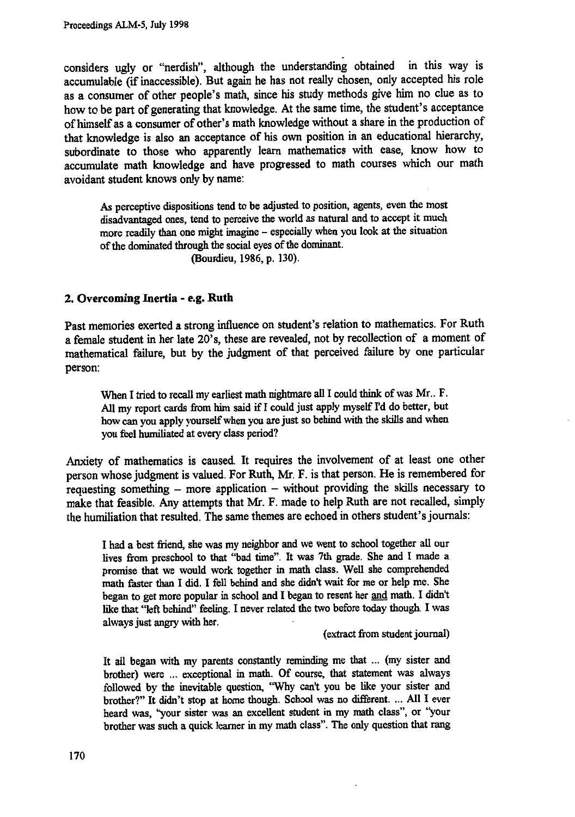considers ugly or "nerdish", although the understanding obtained in this way is accumulable (if inaccessible). But again he has not really chosen, only accepted his role as a consumer of other people's math, since his study methods give him no clue as to how to be part of generating that knowledge. At the same time, the student's acceptance of himself as a consumer of other's math knowledge without a share in the production of that knowledge is also an acceptance of his own position in an educational hierarchy, subordinate to those who apparently learn mathematics with ease, know how to accumulate math knowledge and have progressed to math courses which our math avoidant student knows only by name:

**As perceptive dispositions tend to be adjusted to position, agents, even the most disadvantaged ones, tend to perceive the world as natural and to accept it much more readily than one might imagine — especially when you look at the situation of the dominated through the social eyes of the dominant. (Bourdieu, 1986, p. 130).**

### **2. Overcoming Inertia - e.g. Ruth**

Past memories exerted a strong influence on student's relation to mathematics. For Ruth a female student in her late 20's, these are revealed, not by recollection of a moment of mathematical failure, but by the judgment of that perceived failure by one particular person:

**When I tried to recall my earliest math nightmare all I could think of was Mr.. F. All my report cards from him said if I could just apply myself I'd do better, but how can you apply yourself when you are just so behind with the skills and when you feel humiliated at every class period?**

Anxiety of mathematics is caused. It requires the involvement of at least one other person whose judgment is valued. For Ruth, Mr. F. is that person. He is remembered for requesting something - more application - without providing the skills necessary to make that feasible. Any attempts that Mr. F. made to help Ruth are not recalled, simply the humiliation that resulted. The same themes are echoed in others student's journals:

**I had a best friend, she was my neighbor and we went to school together all our lives from preschool to that "bad time". It was 7th grade. She and I made a promise that we would work together in math class. Well she comprehended math faster than I did. I fell behind and she didn't wait for me or help me. She began to get more popular in school and I began to resent her and math. I didn't like that "left behind" feeling. I never related the two before today though. I was always just angry with her.**

**(extract from student journal)**

**It all began with my parents constantly reminding me that ... (my sister and brother) were ... exceptional in math. Of course, that statement was always followed by the inevitable question, "Why can't you be like your sister and brother?" It didn't stop at home though. School was no different. ... All I ever heard was, "your sister was an excellent student in my math class", or "your brother was such a quick learner in my math class". The only question that rang**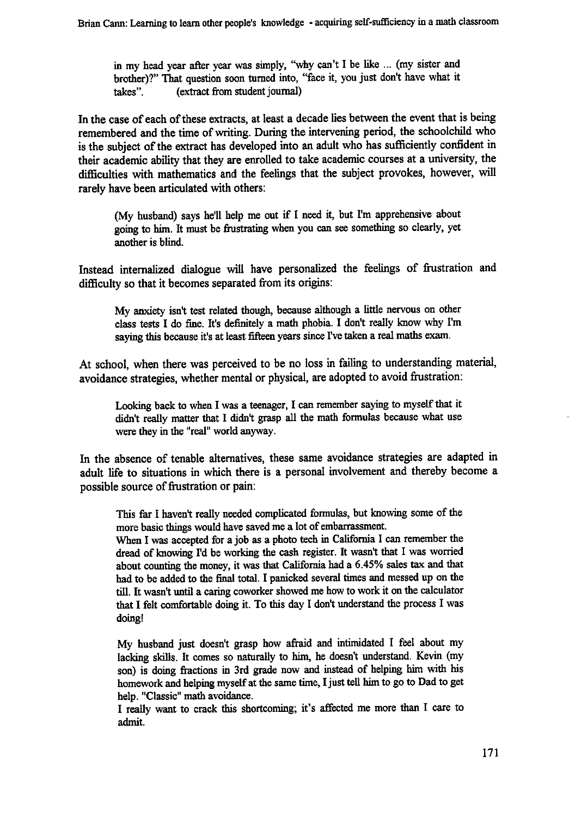in my head year after year was simply, "why can't I be like ... (my sister and brother)?" That question soon turned into, "face it, you just don't have what it takes". (extract from student journal)

In the case of each of these extracts, at least a decade lies between the event that is being remembered and the time of writing. During the intervening period, the schoolchild who is the subject of the extract has developed into an adult who has sufficiently confident in their academic ability that they are enrolled to take academic courses at a university, the difficulties with mathematics and the feelings that the subject provokes, however, will rarely have been articulated with others:

(My husband) says he'll help me out if I need it, but I'm apprehensive about going to him. It must be frustrating when you can see something so clearly, yet another is blind.

Instead internalized dialogue will have personalized the feelings of frustration and difficulty so that it becomes separated from its origins:

My anxiety isn't test related though, because although a little nervous on other class tests I do fine. It's definitely a math phobia. I don't really know why I'm saying this because it's at least fifteen years since I've taken a real maths exam.

At school, when there was perceived to be no loss in failing to understanding material, avoidance strategies, whether mental or physical, are adopted to avoid frustration:

Looking back to when I was a teenager, I can remember saying to myself that it didn't really matter that I didn't grasp all the math formulas because what use were they in the "real" world anyway.

In the absence of tenable alternatives, these same avoidance strategies are adapted in adult life to situations in which there is a personal involvement and thereby become a possible source of frustration or pain:

This far I haven't really needed complicated formulas, but knowing some of the more basic things would have saved me a lot of embarrassment.

When I was accepted for a job as a photo tech in California I can remember the dread of knowing I'd be working the cash register. It wasn't that I was worried about counting the money, it was that California had a 6.45% sales tax and that had to be added to the final total. I panicked several times and messed up on the till. It wasn't until a caring coworker showed me how to work it on the calculator that I felt comfortable doing it. To this day I don't understand the process I was doing!

My husband just doesn't grasp how afraid and intimidated I feel about my lacking skills. It comes so naturally to him, he doesn't understand. Kevin (my son) is doing fractions in 3rd grade now and instead of helping him with his homework and helping myself at the same time, I just tell him to go to Dad to get help. "Classic" math avoidance.

I really want to crack this shortcoming; it's affected me more than I care to admit.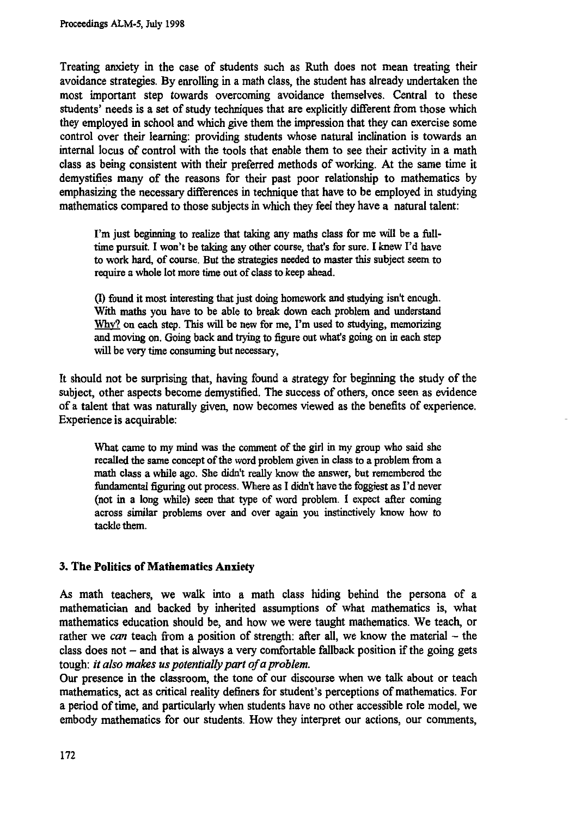**Treating anxiety in the case of students such as Ruth does not mean treating their avoidance strategies. By enrolling in a math class, the student has already undertaken the most important step towards overcoming avoidance themselves. Central to these students' needs is a set of study techniques that are explicitly different from those which they employed in school and which give them the impression that they can exercise some control over their learning: providing students whose natural inclination is towards an internal locus of control with the tools that enable them to see their activity in a math class as being consistent with their preferred methods of working. At the same time it demystifies many of the reasons for their past poor relationship to mathematics by emphasizing the necessary differences in technique that have to be employed in studying mathematics compared to those subjects in which they feel they have a natural talent:**

**I'm just beginning to realize that taking any maths class for me will be a fulltime pursuit. I won't be taking any other course, that's for sure. I knew I'd have to work hard, of course. But the strategies needed to master this subject seem to require a whole lot more time out of class to keep ahead.**

**(I) found it most interesting that just doing homework and studying isn't enough. With maths you have to be able to break down each problem and understand Why? on each step. This will be new for me, I'm used to studying, memorizing and moving on. Going back and trying to figure out what's going on in each step will be very time consuming but necessary,**

**It should not be surprising that, having found a strategy for beginning the study of the subject, other aspects become demystified. The success of others, once seen as evidence of a talent that was naturally given, now becomes viewed as the benefits of experience. Experience is acquirable:**

**What came to my mind** *was* **the comment of the girl in my group who said she recalled the same concept of the word problem given in class to a problem from a math class a while ago. She didn't really know the answer, but remembered the fundamental figuring out process. Where as I didn't have the foggiest as I'd never (not in a long while) seen that type of word problem. I expect after coming across similar problems over and over again you instinctively know how to tackle them.**

## **3. The Politics of Mathematics Anxiety**

**As math teachers, we walk into a math class hiding behind the persona of a mathematician and backed by inherited assumptions of what mathematics is, what mathematics education should be, and how we were taught mathematics. We teach, or rather we** *can* **teach from a position of strength: after all, we know the material — the class does not — and that is always a very comfortable fallback position if the going gets tough:** *it also makes us potentially part of a problem.*

**Our presence in the classroom, the tone of our discourse when we talk about or teach mathematics, act as critical reality definers for student's perceptions of mathematics. For a period of time, and particularly when students have no other accessible role model, we embody mathematics for our students. How they interpret our actions, our comments,**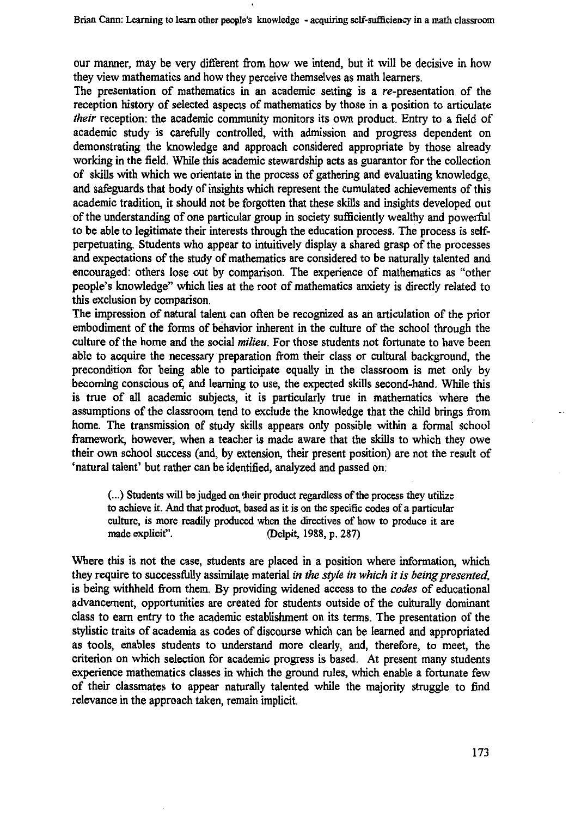**our manner, may be very different from how we intend, but it will be decisive in how they view mathematics and how they perceive themselves as math learners.**

**The presentation of mathematics in an academic setting is a re-presentation of the reception history of selected aspects of mathematics by those in a position to articulate** *their* **reception: the academic community monitors its own product. Entry to a field of academic study is carefully controlled, with admission and progress dependent on demonstrating the knowledge and approach considered appropriate by those already working in the field. While this academic stewardship acts as guarantor for the collection of skills with which we orientate in the process of gathering and evaluating knowledge, and safeguards that body of insights which represent the cumulated achievements of this academic tradition, it should not be forgotten that these skills and insights developed out of the understanding of one particular group in society sufficiently wealthy and powerful to be able to legitimate their interests through the education process. The process is selfperpetuating. Students who appear to intuitively display a shared grasp of the processes and expectations of the study of mathematics are considered to be naturally talented and encouraged: others lose out by comparison. The experience of mathematics as "other people's knowledge" which lies at the root of mathematics anxiety is directly related to this exclusion by comparison.**

**The impression of natural talent can often be recognized as an articulation of the prior embodiment of the forms of behavior inherent in the culture of the school through the culture of the home and the social** *milieu.* **For those students not fortunate to have been able to acquire the necessary preparation from their class or cultural background, the precondition for being able to participate equally in the classroom is met only by becoming conscious of, and learning to use, the expected skills second-hand. While this is true of all academic subjects, it is particularly true in mathematics where the assumptions of the classroom tend to exclude the knowledge that the child brings from home. The transmission of study skills appears only possible within a formal school framework, however, when a teacher is made aware that the skills to which they owe their own school success (and, by extension, their present position) are not the result of `natural talent' but rather can be identified, analyzed and passed on:**

**(...) Students will be judged on their product regardless of the process they utilize to achieve it. And that product, based as it is on the specific codes of a particular culture, is more readily produced when the directives of how to produce it are made explicit". (Delpit, 1988, p. 287)**

**Where this is not the case, students are placed in a position where information, which they require to successfully assimilate material** *in the style in which it is being presented,* **is being withheld from them. By providing widened access to the** *codes* **of educational advancement, opportunities are created for students outside of the culturally dominant class to earn entry to the academic establishment on its terms. The presentation of the stylistic traits of academia as codes of discourse which can be learned and appropriated as tools, enables students to understand more clearly, and, therefore, to meet, the criterion on which selection for academic progress is based. At present many students experience mathematics classes in which the ground rules, which enable a fortunate few of their classmates to appear naturally talented while the majority struggle to find relevance in the approach taken, remain implicit.**